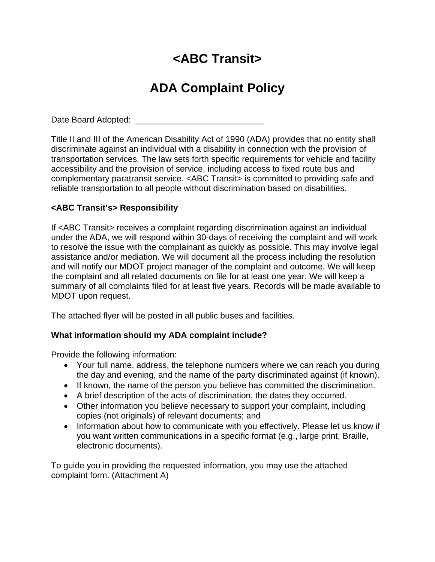# **<ABC Transit>**

# **ADA Complaint Policy**

Date Board Adopted: \_\_\_\_\_\_\_\_\_\_\_\_\_\_\_\_\_\_\_\_\_\_\_\_\_\_\_

Title II and III of the American Disability Act of 1990 (ADA) provides that no entity shall discriminate against an individual with a disability in connection with the provision of transportation services. The law sets forth specific requirements for vehicle and facility accessibility and the provision of service, including access to fixed route bus and complementary paratransit service. <ABC Transit> is committed to providing safe and reliable transportation to all people without discrimination based on disabilities.

### **<ABC Transit's> Responsibility**

If <ABC Transit> receives a complaint regarding discrimination against an individual under the ADA, we will respond within 30-days of receiving the complaint and will work to resolve the issue with the complainant as quickly as possible. This may involve legal assistance and/or mediation. We will document all the process including the resolution and will notify our MDOT project manager of the complaint and outcome. We will keep the complaint and all related documents on file for at least one year. We will keep a summary of all complaints filed for at least five years. Records will be made available to MDOT upon request.

The attached flyer will be posted in all public buses and facilities.

### **What information should my ADA complaint include?**

Provide the following information:

- Your full name, address, the telephone numbers where we can reach you during the day and evening, and the name of the party discriminated against (if known).
- If known, the name of the person you believe has committed the discrimination.
- A brief description of the acts of discrimination, the dates they occurred.
- Other information you believe necessary to support your complaint, including copies (not originals) of relevant documents; and
- Information about how to communicate with you effectively. Please let us know if you want written communications in a specific format (e.g., large print, Braille, electronic documents).

To guide you in providing the requested information, you may use the attached complaint form. (Attachment A)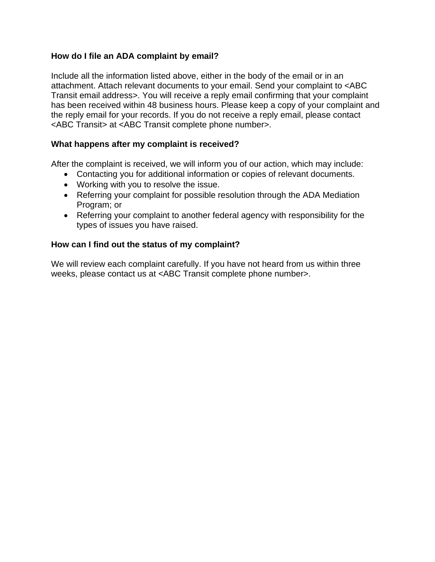#### **How do I file an ADA complaint by email?**

Include all the information listed above, either in the body of the email or in an attachment. Attach relevant documents to your email. Send your complaint to <ABC Transit email address>. You will receive a reply email confirming that your complaint has been received within 48 business hours. Please keep a copy of your complaint and the reply email for your records. If you do not receive a reply email, please contact <ABC Transit> at <ABC Transit complete phone number>.

#### **What happens after my complaint is received?**

After the complaint is received, we will inform you of our action, which may include:

- Contacting you for additional information or copies of relevant documents.
- Working with you to resolve the issue.
- Referring your complaint for possible resolution through the ADA Mediation Program; or
- Referring your complaint to another federal agency with responsibility for the types of issues you have raised.

#### **How can I find out the status of my complaint?**

We will review each complaint carefully. If you have not heard from us within three weeks, please contact us at <ABC Transit complete phone number>.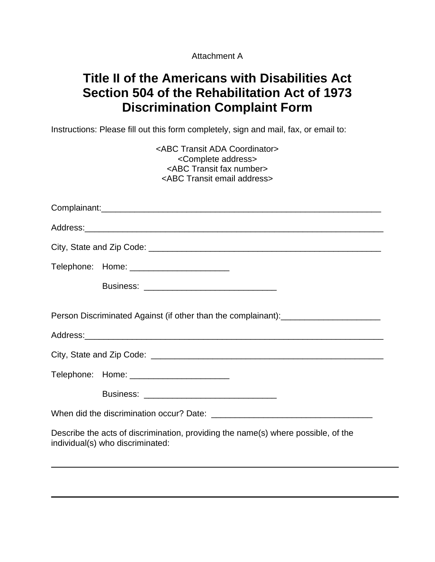Attachment A

## **Title II of the Americans with Disabilities Act Section 504 of the Rehabilitation Act of 1973 Discrimination Complaint Form**

Instructions: Please fill out this form completely, sign and mail, fax, or email to:

| <abc ada="" coordinator="" transit=""><br/><complete address=""><br/><abc fax="" number="" transit=""><br/><abc address="" email="" transit=""></abc></abc></complete></abc> |
|------------------------------------------------------------------------------------------------------------------------------------------------------------------------------|
|                                                                                                                                                                              |
|                                                                                                                                                                              |
|                                                                                                                                                                              |
| Telephone: Home: _______________________                                                                                                                                     |
|                                                                                                                                                                              |
| Person Discriminated Against (if other than the complainant):___________________                                                                                             |
|                                                                                                                                                                              |
| Telephone: Home: _____________________________                                                                                                                               |
|                                                                                                                                                                              |
|                                                                                                                                                                              |
| Describe the acts of discrimination, providing the name(s) where possible, of the<br>individual(s) who discriminated:                                                        |